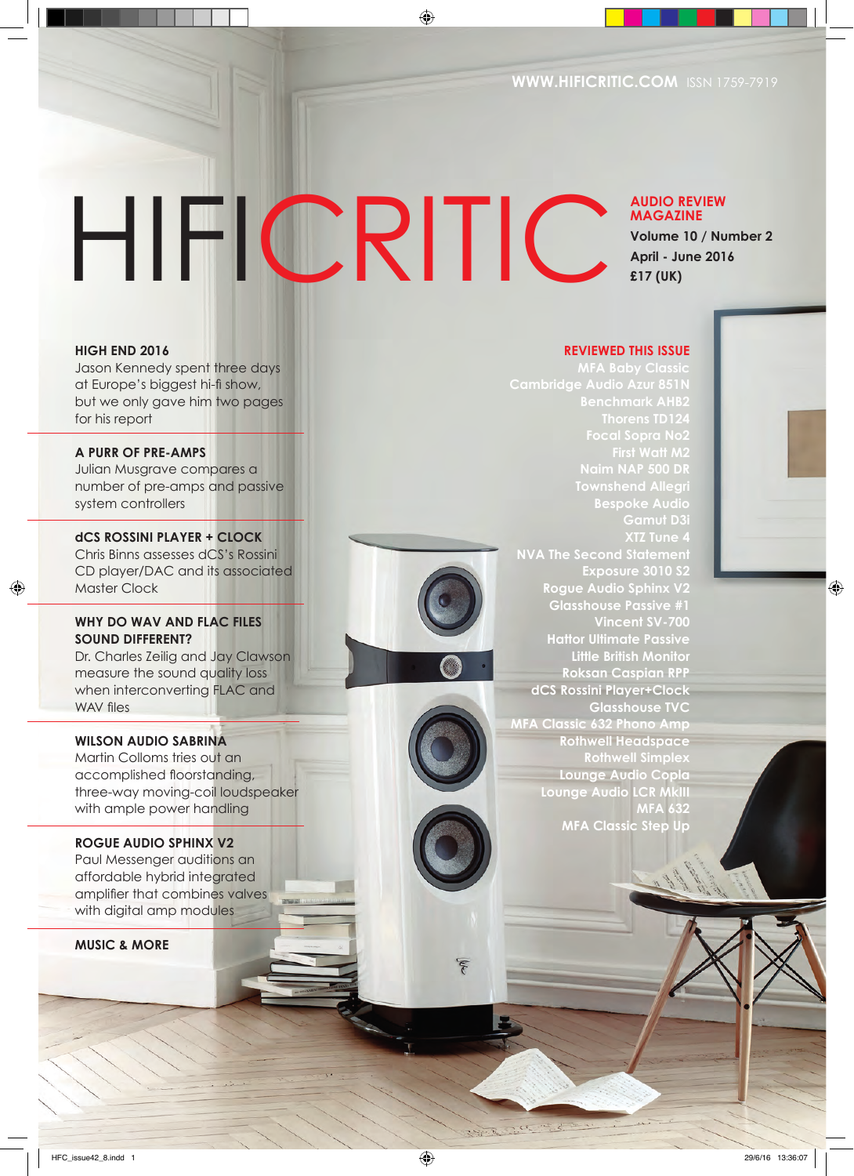# HIFICRITIC

**AUDIO REVIEW MAGAZINE Volume 10 / Number 2 April - June 2016 £17 (UK)**

#### **HIGH END 2016**

Jason Kennedy spent three days at Europe's biggest hi-fi show, but we only gave him two pages for his report

**A PURR OF PRE-AMPS** Julian Musgrave compares a number of pre-amps and passive system controllers

**dCS ROSSINI PLAYER + CLOCK** Chris Binns assesses dCS's Rossini CD player/DAC and its associated Master Clock

#### **WHY DO WAV AND FLAC FILES SOUND DIFFERENT?**

Dr. Charles Zeilig and Jay Clawson measure the sound quality loss when interconverting FLAC and WAV files

#### **WILSON AUDIO SABRINA**

Martin Colloms tries out an accomplished floorstanding, three-way moving-coil loudspeaker with ample power handling

#### **ROGUE AUDIO SPHINX V2**

Paul Messenger auditions an affordable hybrid integrated amplifier that combines valves with digital amp modules

**MUSIC & MORE**

**REVIEWED THIS ISSUE**

**Cambridge Audio Azur 851N First Watt M2 Townshend Allegri Bespoke Audio Gamut D3i NVA The Second Statement Exposure 3010 S2 Rogue Audio Sphinx V2 Glasshouse Passive #1 Vincent SV-700 Hattor Ultimate Passive Little British Monitor Roksan Caspian RPP dCS Rossini Player+Clock Glasshouse TVC MFA Classic 632 Phono Amp Rothwell Headspace Rothwell Simplex Lounge Audio Copla Lounge Audio LCR MkIII MFA 632 MFA Classic Step Up**





**HIFICRITIC** APR | MAY | JUN 2016 **1**

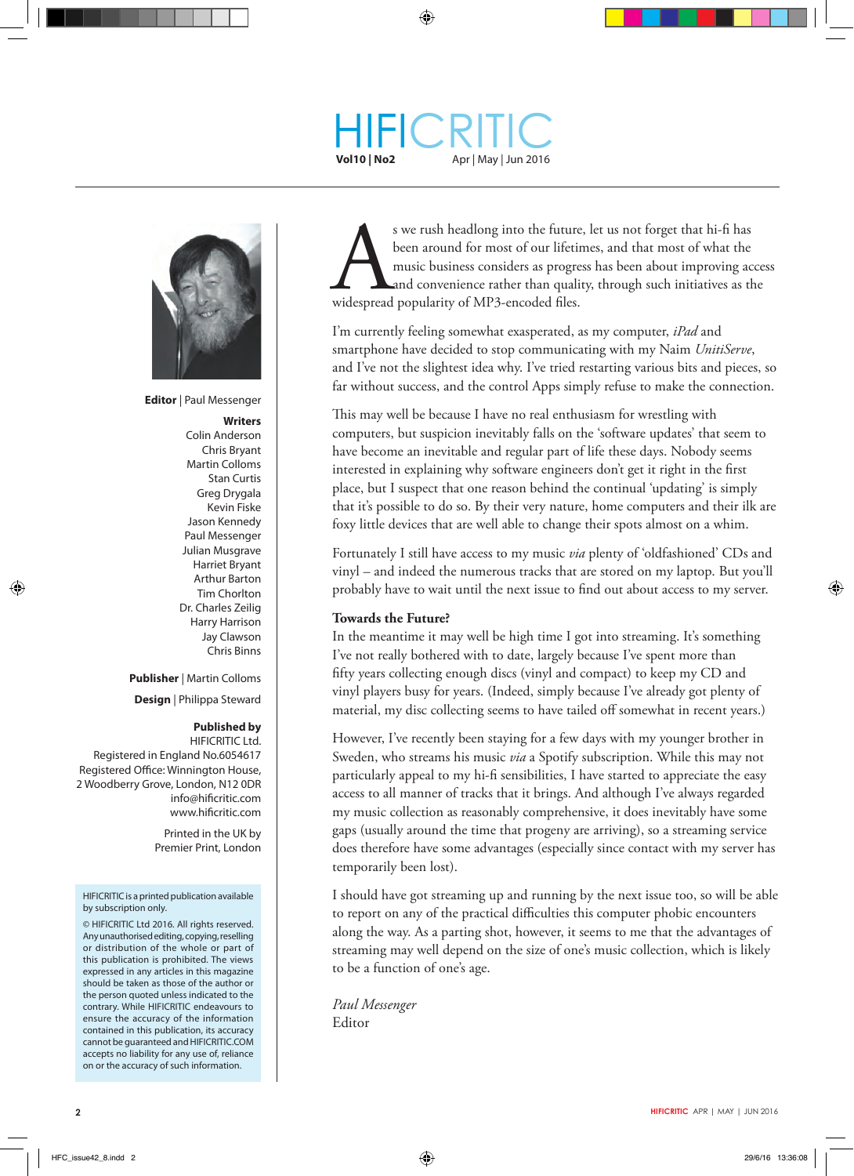#### HIFI **Vol10 | No2** Apr | May | Jun 2016 **CRITIC**



**Editor** | Paul Messenger

**Writers** Colin Anderson Chris Bryant Martin Colloms Stan Curtis Greg Drygala Kevin Fiske Jason Kennedy Paul Messenger Julian Musgrave Harriet Bryant Arthur Barton Tim Chorlton Dr. Charles Zeilig Harry Harrison Jay Clawson Chris Binns

**Publisher** | Martin Colloms

**Design** | Philippa Steward

#### **Published by**

 HIFICRITIC Ltd. Registered in England No.6054617 Registered Office: Winnington House, 2 Woodberry Grove, London, N12 0DR info@hificritic.com www.hificritic.com

> Printed in the UK by Premier Print, London

#### HIFICRITIC is a printed publication available by subscription only.

© HIFICRITIC Ltd 2016. All rights reserved. Any unauthorised editing, copying, reselling or distribution of the whole or part of this publication is prohibited. The views expressed in any articles in this magazine should be taken as those of the author or the person quoted unless indicated to the contrary. While HIFICRITIC endeavours to ensure the accuracy of the information contained in this publication, its accuracy cannot be guaranteed and HIFICRITIC.COM accepts no liability for any use of, reliance on or the accuracy of such information.

s we rush headlong into the future, let us not forget that hi-fi has been around for most of our lifetimes, and that most of what the music business considers as progress has been about improving access and convenience rather than quality, through such initiatives as the widespread popularity of MP3-encoded files.

I'm currently feeling somewhat exasperated, as my computer, *iPad* and smartphone have decided to stop communicating with my Naim *UnitiServe*, and I've not the slightest idea why. I've tried restarting various bits and pieces, so far without success, and the control Apps simply refuse to make the connection.

This may well be because I have no real enthusiasm for wrestling with computers, but suspicion inevitably falls on the 'software updates' that seem to have become an inevitable and regular part of life these days. Nobody seems interested in explaining why software engineers don't get it right in the first place, but I suspect that one reason behind the continual 'updating' is simply that it's possible to do so. By their very nature, home computers and their ilk are foxy little devices that are well able to change their spots almost on a whim.

Fortunately I still have access to my music *via* plenty of 'oldfashioned' CDs and vinyl – and indeed the numerous tracks that are stored on my laptop. But you'll probably have to wait until the next issue to find out about access to my server.

#### **Towards the Future?**

In the meantime it may well be high time I got into streaming. It's something I've not really bothered with to date, largely because I've spent more than fifty years collecting enough discs (vinyl and compact) to keep my CD and vinyl players busy for years. (Indeed, simply because I've already got plenty of material, my disc collecting seems to have tailed off somewhat in recent years.)

However, I've recently been staying for a few days with my younger brother in Sweden, who streams his music *via* a Spotify subscription. While this may not particularly appeal to my hi-fi sensibilities, I have started to appreciate the easy access to all manner of tracks that it brings. And although I've always regarded my music collection as reasonably comprehensive, it does inevitably have some gaps (usually around the time that progeny are arriving), so a streaming service does therefore have some advantages (especially since contact with my server has temporarily been lost).

I should have got streaming up and running by the next issue too, so will be able to report on any of the practical difficulties this computer phobic encounters along the way. As a parting shot, however, it seems to me that the advantages of streaming may well depend on the size of one's music collection, which is likely to be a function of one's age.

*Paul Messenger* Editor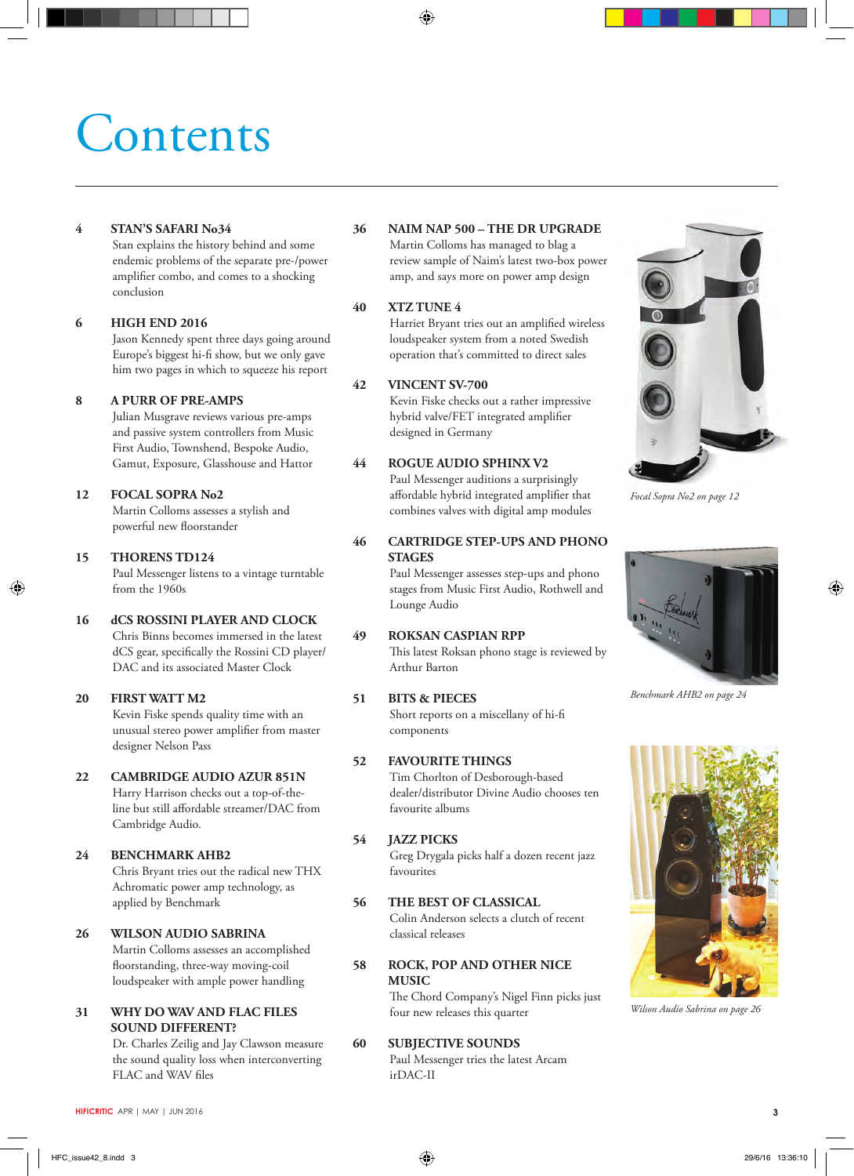## **Contents**

#### **4 STAN'S SAFARI No34**

 Stan explains the history behind and some endemic problems of the separate pre-/power amplifier combo, and comes to a shocking conclusion

#### **6 HIGH END 2016**

 Jason Kennedy spent three days going around Europe's biggest hi-fi show, but we only gave him two pages in which to squeeze his report

#### **8 A PURR OF PRE-AMPS**

 Julian Musgrave reviews various pre-amps and passive system controllers from Music First Audio, Townshend, Bespoke Audio, Gamut, Exposure, Glasshouse and Hattor

#### **12 FOCAL SOPRA No2**

 Martin Colloms assesses a stylish and powerful new floorstander

#### **15 THORENS TD124**

 Paul Messenger listens to a vintage turntable from the 1960s

#### **16 dCS ROSSINI PLAYER AND CLOCK**

 Chris Binns becomes immersed in the latest dCS gear, specifically the Rossini CD player/ DAC and its associated Master Clock

#### **20 FIRST WATT M2**

 Kevin Fiske spends quality time with an unusual stereo power amplifier from master designer Nelson Pass

#### **22 CAMBRIDGE AUDIO AZUR 851N**

 Harry Harrison checks out a top-of-theline but still affordable streamer/DAC from Cambridge Audio.

#### **24 BENCHMARK AHB2**

 Chris Bryant tries out the radical new THX Achromatic power amp technology, as applied by Benchmark

#### **26 WILSON AUDIO SABRINA**

 Martin Colloms assesses an accomplished floorstanding, three-way moving-coil loudspeaker with ample power handling

#### **31 WHY DO WAV AND FLAC FILES SOUND DIFFERENT?**

 Dr. Charles Zeilig and Jay Clawson measure the sound quality loss when interconverting FLAC and WAV files

#### **36 NAIM NAP 500 – THE DR UPGRADE**

 Martin Colloms has managed to blag a review sample of Naim's latest two-box power amp, and says more on power amp design

#### **40 XTZ TUNE 4**

 Harriet Bryant tries out an amplified wireless loudspeaker system from a noted Swedish operation that's committed to direct sales

#### **42 VINCENT SV-700**

 Kevin Fiske checks out a rather impressive hybrid valve/FET integrated amplifier designed in Germany

#### **44 ROGUE AUDIO SPHINX V2**

 Paul Messenger auditions a surprisingly affordable hybrid integrated amplifier that combines valves with digital amp modules

#### **46 CARTRIDGE STEP-UPS AND PHONO STAGES**

 Paul Messenger assesses step-ups and phono stages from Music First Audio, Rothwell and Lounge Audio

#### **49 ROKSAN CASPIAN RPP**

 This latest Roksan phono stage is reviewed by Arthur Barton

#### **51 BITS & PIECES** Short reports on a miscellany of hi-fi

components

#### **52 FAVOURITE THINGS**

 Tim Chorlton of Desborough-based dealer/distributor Divine Audio chooses ten favourite albums

#### **54 JAZZ PICKS**

 Greg Drygala picks half a dozen recent jazz favourites

#### **56 THE BEST OF CLASSICAL** Colin Anderson selects a clutch of recent classical releases

#### **58 ROCK, POP AND OTHER NICE MUSIC**

 The Chord Company's Nigel Finn picks just four new releases this quarter

#### **60 SUBJECTIVE SOUNDS** Paul Messenger tries the latest Arcam irDAC-II



*Focal Sopra No2 on page 12*

*Benchmark AHB2 on page 24*



*Wilson Audio Sabrina on page 26*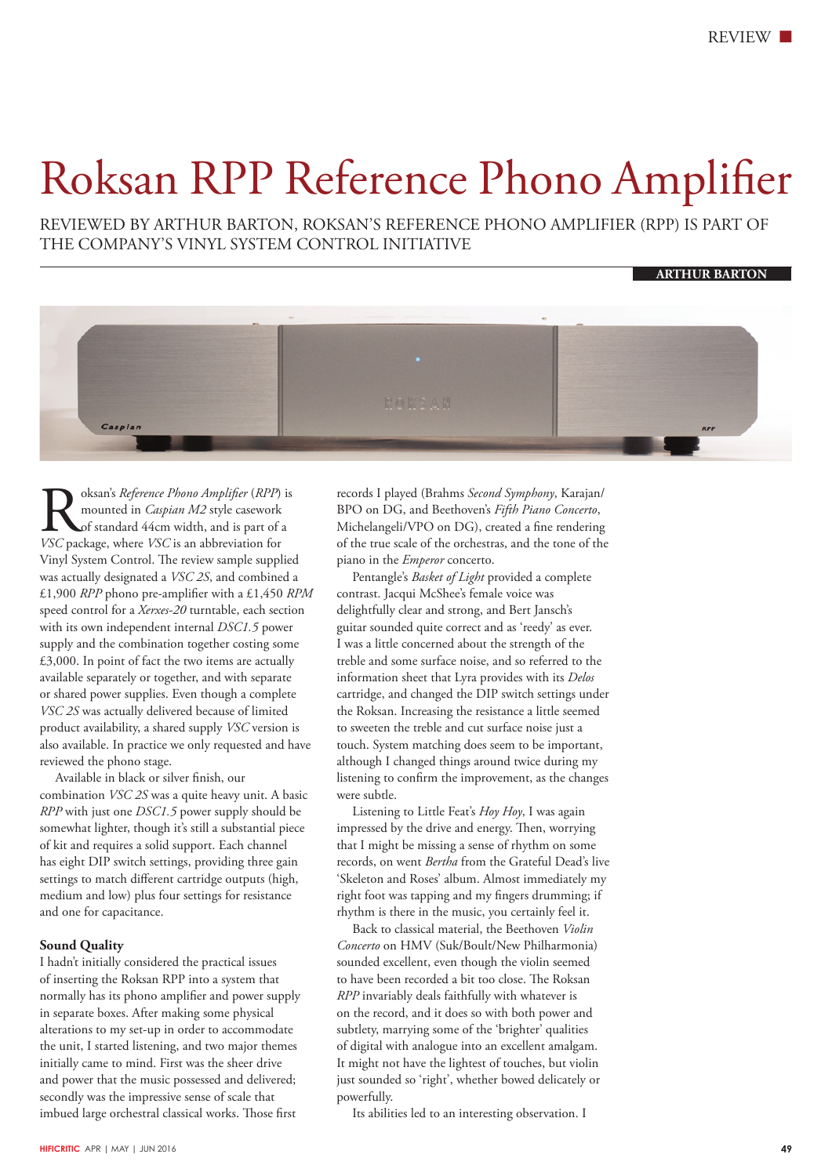### Roksan RPP Reference Phono Amplifier

REVIEWED BY ARTHUR BARTON, ROKSAN'S REFERENCE PHONO AMPLIFIER (RPP) IS PART OF THE COMPANY'S VINYL SYSTEM CONTROL INITIATIVE

**ARTHUR BARTON**



**Rocksan's** *Reference Phono Amplifier* (*RPP*) is mounted in *Caspian M2* style casework of standard 44cm width, and is part of a VSC package, where *VSC* is an abbreviation for mounted in *Caspian M2* style casework of standard 44cm width, and is part of a Vinyl System Control. The review sample supplied was actually designated a *VSC 2S*, and combined a £1,900 *RPP* phono pre-amplifier with a £1,450 *RPM* speed control for a *Xerxes-20* turntable, each section with its own independent internal *DSC1.5* power supply and the combination together costing some £3,000. In point of fact the two items are actually available separately or together, and with separate or shared power supplies. Even though a complete *VSC 2S* was actually delivered because of limited product availability, a shared supply *VSC* version is also available. In practice we only requested and have reviewed the phono stage.

 Available in black or silver finish, our combination *VSC 2S* was a quite heavy unit. A basic *RPP* with just one *DSC1.5* power supply should be somewhat lighter, though it's still a substantial piece of kit and requires a solid support. Each channel has eight DIP switch settings, providing three gain settings to match different cartridge outputs (high, medium and low) plus four settings for resistance and one for capacitance.

#### **Sound Quality**

I hadn't initially considered the practical issues of inserting the Roksan RPP into a system that normally has its phono amplifier and power supply in separate boxes. After making some physical alterations to my set-up in order to accommodate the unit, I started listening, and two major themes initially came to mind. First was the sheer drive and power that the music possessed and delivered; secondly was the impressive sense of scale that imbued large orchestral classical works. Those first

records I played (Brahms *Second Symphony*, Karajan/ BPO on DG, and Beethoven's *Fifth Piano Concerto*, Michelangeli/VPO on DG), created a fine rendering of the true scale of the orchestras, and the tone of the piano in the *Emperor* concerto.

 Pentangle's *Basket of Light* provided a complete contrast. Jacqui McShee's female voice was delightfully clear and strong, and Bert Jansch's guitar sounded quite correct and as 'reedy' as ever. I was a little concerned about the strength of the treble and some surface noise, and so referred to the information sheet that Lyra provides with its *Delos* cartridge, and changed the DIP switch settings under the Roksan. Increasing the resistance a little seemed to sweeten the treble and cut surface noise just a touch. System matching does seem to be important, although I changed things around twice during my listening to confirm the improvement, as the changes were subtle.

 Listening to Little Feat's *Hoy Hoy*, I was again impressed by the drive and energy. Then, worrying that I might be missing a sense of rhythm on some records, on went *Bertha* from the Grateful Dead's live 'Skeleton and Roses' album. Almost immediately my right foot was tapping and my fingers drumming; if rhythm is there in the music, you certainly feel it.

 Back to classical material, the Beethoven *Violin Concerto* on HMV (Suk/Boult/New Philharmonia) sounded excellent, even though the violin seemed to have been recorded a bit too close. The Roksan *RPP* invariably deals faithfully with whatever is on the record, and it does so with both power and subtlety, marrying some of the 'brighter' qualities of digital with analogue into an excellent amalgam. It might not have the lightest of touches, but violin just sounded so 'right', whether bowed delicately or powerfully.

Its abilities led to an interesting observation. I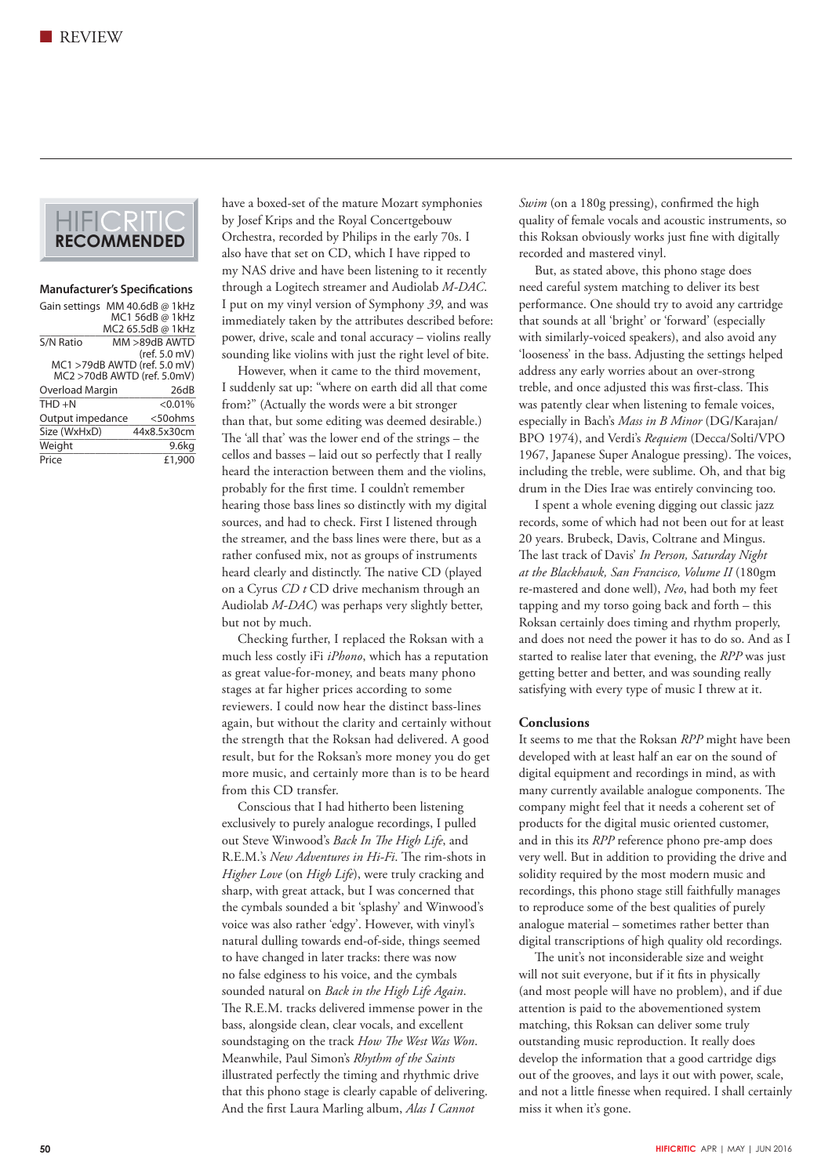

#### **Manufacturer's Specifications**

| Gain settings                |  | MM 40.6dB @ 1kHz  |            |
|------------------------------|--|-------------------|------------|
|                              |  | MC1 56dB @ 1kHz   |            |
|                              |  | MC2 65.5dB @ 1kHz |            |
| S/N Ratio                    |  | MM >89dB AWTD     |            |
|                              |  | (ref. 5.0 mV)     |            |
| MC1 >79dB AWTD (ref. 5.0 mV) |  |                   |            |
| MC2 >70dB AWTD (ref. 5.0mV)  |  |                   |            |
| Overload Margin              |  |                   | 26dB       |
| $THD + N$                    |  |                   | $< 0.01\%$ |
| Output impedance             |  |                   | <50ohms    |
| Size (WxHxD)                 |  | 44x8.5x30cm       |            |
| Weight                       |  |                   | 9.6kg      |
| Price                        |  |                   | £1,900     |

have a boxed-set of the mature Mozart symphonies by Josef Krips and the Royal Concertgebouw Orchestra, recorded by Philips in the early 70s. I also have that set on CD, which I have ripped to my NAS drive and have been listening to it recently through a Logitech streamer and Audiolab *M-DAC*. I put on my vinyl version of Symphony *39*, and was immediately taken by the attributes described before: power, drive, scale and tonal accuracy – violins really sounding like violins with just the right level of bite.

 However, when it came to the third movement, I suddenly sat up: "where on earth did all that come from?" (Actually the words were a bit stronger than that, but some editing was deemed desirable.) The 'all that' was the lower end of the strings – the cellos and basses – laid out so perfectly that I really heard the interaction between them and the violins, probably for the first time. I couldn't remember hearing those bass lines so distinctly with my digital sources, and had to check. First I listened through the streamer, and the bass lines were there, but as a rather confused mix, not as groups of instruments heard clearly and distinctly. The native CD (played on a Cyrus *CD t* CD drive mechanism through an Audiolab *M-DAC*) was perhaps very slightly better, but not by much.

 Checking further, I replaced the Roksan with a much less costly iFi *iPhono*, which has a reputation as great value-for-money, and beats many phono stages at far higher prices according to some reviewers. I could now hear the distinct bass-lines again, but without the clarity and certainly without the strength that the Roksan had delivered. A good result, but for the Roksan's more money you do get more music, and certainly more than is to be heard from this CD transfer.

 Conscious that I had hitherto been listening exclusively to purely analogue recordings, I pulled out Steve Winwood's *Back In The High Life*, and R.E.M.'s *New Adventures in Hi-Fi*. The rim-shots in *Higher Love* (on *High Life*), were truly cracking and sharp, with great attack, but I was concerned that the cymbals sounded a bit 'splashy' and Winwood's voice was also rather 'edgy'. However, with vinyl's natural dulling towards end-of-side, things seemed to have changed in later tracks: there was now no false edginess to his voice, and the cymbals sounded natural on *Back in the High Life Again*. The R.E.M. tracks delivered immense power in the bass, alongside clean, clear vocals, and excellent soundstaging on the track *How The West Was Won*. Meanwhile, Paul Simon's *Rhythm of the Saints* illustrated perfectly the timing and rhythmic drive that this phono stage is clearly capable of delivering. And the first Laura Marling album, *Alas I Cannot* 

*Swim* (on a 180g pressing), confirmed the high quality of female vocals and acoustic instruments, so this Roksan obviously works just fine with digitally recorded and mastered vinyl.

 But, as stated above, this phono stage does need careful system matching to deliver its best performance. One should try to avoid any cartridge that sounds at all 'bright' or 'forward' (especially with similarly-voiced speakers), and also avoid any 'looseness' in the bass. Adjusting the settings helped address any early worries about an over-strong treble, and once adjusted this was first-class. This was patently clear when listening to female voices, especially in Bach's *Mass in B Minor* (DG/Karajan/ BPO 1974), and Verdi's *Requiem* (Decca/Solti/VPO 1967, Japanese Super Analogue pressing). The voices, including the treble, were sublime. Oh, and that big drum in the Dies Irae was entirely convincing too.

 I spent a whole evening digging out classic jazz records, some of which had not been out for at least 20 years. Brubeck, Davis, Coltrane and Mingus. The last track of Davis' *In Person, Saturday Night at the Blackhawk, San Francisco, Volume II* (180gm re-mastered and done well), *Neo*, had both my feet tapping and my torso going back and forth – this Roksan certainly does timing and rhythm properly, and does not need the power it has to do so. And as I started to realise later that evening, the *RPP* was just getting better and better, and was sounding really satisfying with every type of music I threw at it.

#### **Conclusions**

It seems to me that the Roksan *RPP* might have been developed with at least half an ear on the sound of digital equipment and recordings in mind, as with many currently available analogue components. The company might feel that it needs a coherent set of products for the digital music oriented customer, and in this its *RPP* reference phono pre-amp does very well. But in addition to providing the drive and solidity required by the most modern music and recordings, this phono stage still faithfully manages to reproduce some of the best qualities of purely analogue material – sometimes rather better than digital transcriptions of high quality old recordings.

 The unit's not inconsiderable size and weight will not suit everyone, but if it fits in physically (and most people will have no problem), and if due attention is paid to the abovementioned system matching, this Roksan can deliver some truly outstanding music reproduction. It really does develop the information that a good cartridge digs out of the grooves, and lays it out with power, scale, and not a little finesse when required. I shall certainly miss it when it's gone.